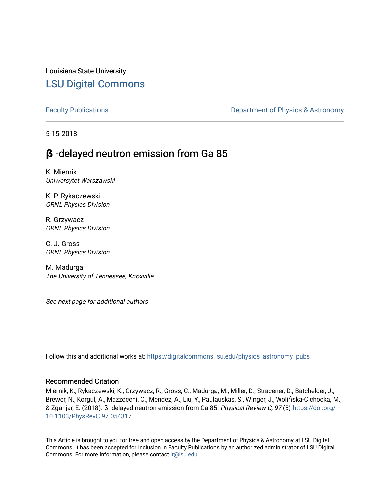Louisiana State University [LSU Digital Commons](https://digitalcommons.lsu.edu/)

[Faculty Publications](https://digitalcommons.lsu.edu/physics_astronomy_pubs) **Exercise 2 and Table 2 and Table 2 and Table 2 and Table 2 and Table 2 and Table 2 and Table 2 and Table 2 and Table 2 and Table 2 and Table 2 and Table 2 and Table 2 and Table 2 and Table 2 and Table** 

5-15-2018

### **β** -delayed neutron emission from Ga 85

K. Miernik Uniwersytet Warszawski

K. P. Rykaczewski ORNL Physics Division

R. Grzywacz ORNL Physics Division

C. J. Gross ORNL Physics Division

M. Madurga The University of Tennessee, Knoxville

See next page for additional authors

Follow this and additional works at: [https://digitalcommons.lsu.edu/physics\\_astronomy\\_pubs](https://digitalcommons.lsu.edu/physics_astronomy_pubs?utm_source=digitalcommons.lsu.edu%2Fphysics_astronomy_pubs%2F6071&utm_medium=PDF&utm_campaign=PDFCoverPages) 

#### Recommended Citation

Miernik, K., Rykaczewski, K., Grzywacz, R., Gross, C., Madurga, M., Miller, D., Stracener, D., Batchelder, J., Brewer, N., Korgul, A., Mazzocchi, C., Mendez, A., Liu, Y., Paulauskas, S., Winger, J., Wolińska-Cichocka, M., & Zganjar, E. (2018). β -delayed neutron emission from Ga 85. Physical Review C, 97 (5) [https://doi.org/](https://doi.org/10.1103/PhysRevC.97.054317) [10.1103/PhysRevC.97.054317](https://doi.org/10.1103/PhysRevC.97.054317)

This Article is brought to you for free and open access by the Department of Physics & Astronomy at LSU Digital Commons. It has been accepted for inclusion in Faculty Publications by an authorized administrator of LSU Digital Commons. For more information, please contact [ir@lsu.edu](mailto:ir@lsu.edu).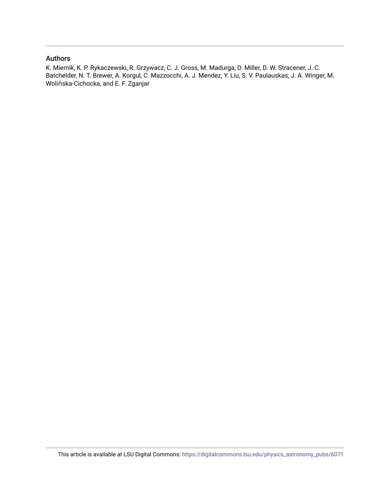#### Authors

K. Miernik, K. P. Rykaczewski, R. Grzywacz, C. J. Gross, M. Madurga, D. Miller, D. W. Stracener, J. C. Batchelder, N. T. Brewer, A. Korgul, C. Mazzocchi, A. J. Mendez, Y. Liu, S. V. Paulauskas, J. A. Winger, M. Wolińska-Cichocka, and E. F. Zganjar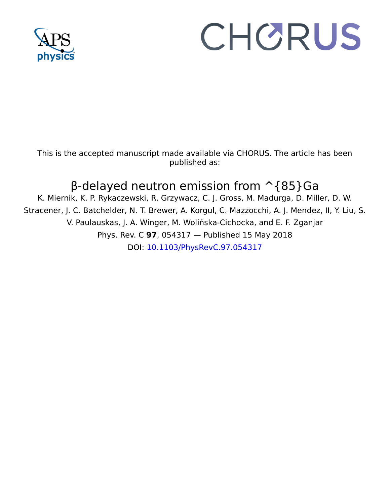

# CHORUS

This is the accepted manuscript made available via CHORUS. The article has been published as:

## β-delayed neutron emission from ^{85}Ga

K. Miernik, K. P. Rykaczewski, R. Grzywacz, C. J. Gross, M. Madurga, D. Miller, D. W. Stracener, J. C. Batchelder, N. T. Brewer, A. Korgul, C. Mazzocchi, A. J. Mendez, II, Y. Liu, S. V. Paulauskas, J. A. Winger, M. Wolińska-Cichocka, and E. F. Zganjar Phys. Rev. C **97**, 054317 — Published 15 May 2018 DOI: [10.1103/PhysRevC.97.054317](http://dx.doi.org/10.1103/PhysRevC.97.054317)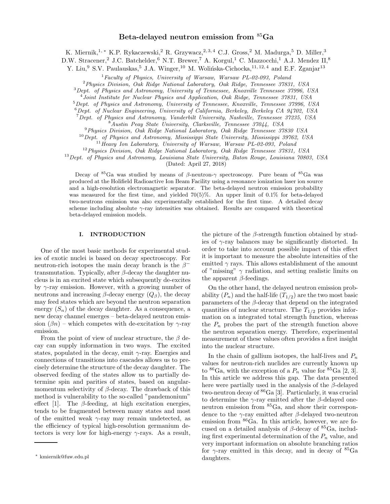#### Beta-delayed neutron emission from <sup>85</sup>Ga

K. Miernik,<sup>1,</sup> \* K.P. Rykaczewski,<sup>2</sup> R. Grzywacz,<sup>2,3,4</sup> C.J. Gross,<sup>2</sup> M. Madurga,<sup>5</sup> D. Miller,<sup>3</sup>

D.W. Stracener,<sup>2</sup> J.C. Batchelder,<sup>6</sup> N.T. Brewer,<sup>7</sup> A. Korgul,<sup>1</sup> C. Mazzocchi,<sup>1</sup> A.J. Mendez II,<sup>8</sup>

Y. Liu,  $9$  S.V. Paulauskas,<sup>5</sup> J.A. Winger,<sup>10</sup> M. Wolińska-Cichocka,<sup>11, 12, 4</sup> and E.F. Zganjar<sup>13</sup>

 ${}^{1}$ Faculty of Physics, University of Warsaw, Warsaw PL-02-093, Poland

 $^{2}$ Physics Division, Oak Ridge National Laboratory, Oak Ridge, Tennessee 37831, USA

 $3$  Dept. of Physics and Astronomy, University of Tennessee, Knoxville Tennessee 37996, USA

<sup>4</sup>Joint Institute for Nuclear Physics and Application, Oak Ridge, Tennessee 37831, USA

<sup>5</sup>Dept. of Physics and Astronomy, University of Tennessee, Knoxville, Tennessee 37996, USA

<sup>6</sup>Dept. of Nuclear Engineering, University of California, Berkeley, Berkeley CA 94702, USA

<sup>7</sup>Dept. of Physics and Astronomy, Vanderbilt University, Nashville, Tennessee 37235, USA

<sup>8</sup>Austin Peay State University, Clarksville, Tennessee 37044, USA

<sup>9</sup>Physics Division, Oak Ridge National Laboratory, Oak Ridge Tennessee 37830 USA

<sup>10</sup>Dept. of Physics and Astronomy, Mississippi State University, Mississippi 39762, USA

 $11$  Heavy Ion Laboratory, University of Warsaw, Warsaw PL-02-093, Poland

<sup>12</sup> Physics Division, Oak Ridge National Laboratory, Oak Ridge Tennessee 37831, USA

 $^{13}$  Dept. of Physics and Astronomy, Louisiana State University, Baton Rouge, Louisiana 70803, USA

(Dated: April 27, 2018)

Decay of <sup>85</sup>Ga was studied by means of β-neutron-γ spectroscopy. Pure beam of <sup>85</sup>Ga was produced at the Holifield Radioactive Ion Beam Facility using a resonance ionization laser ion source and a high-resolution electromagnetic separator. The beta-delayed neutron emission probability was measured for the first time, and yielded  $70(5)\%$ . An upper limit of  $0.1\%$  for beta-delayed two-neutrons emission was also experimentally established for the first time. A detailed decay scheme including absolute γ-ray intensities was obtained. Results are compared with theoretical beta-delayed emission models.

#### I. INTRODUCTION

One of the most basic methods for experimental studies of exotic nuclei is based on decay spectroscopy. For neutron-rich isotopes the main decay branch is the  $\beta^$ transmutation. Typically, after  $\beta$ -decay the daughter nucleus is in an excited state which subsequently de-excites by  $\gamma$ -ray emission. However, with a growing number of neutrons and increasing  $\beta$ -decay energy  $(Q_\beta)$ , the decay may feed states which are beyond the neutron separation energy  $(S_n)$  of the decay daughter. As a consequence, a new decay channel emerges – beta-delayed neutron emission  $(\beta n)$  – which competes with de-excitation by  $\gamma$ -ray emission.

From the point of view of nuclear structure, the  $\beta$  decay can supply information in two ways. The excited states, populated in the decay, emit  $\gamma$ -ray. Energies and connections of transitions into cascades allows us to precisely determine the structure of the decay daughter. The observed feeding of the states allow us to partially determine spin and parities of states, based on angularmomentum selectivity of  $\beta$ -decay. The drawback of this method is vulnerability to the so-called "pandemonium" effect [1]. The  $\beta$ -feeding, at high excitation energies, tends to be fragmented between many states and most of the emitted weak  $\gamma$ -ray may remain undetected, as the efficiency of typical high-resolution germanium detectors is very low for high-energy  $\gamma$ -rays. As a result,

the picture of the  $\beta$ -strength function obtained by studies of  $\gamma$ -ray balances may be significantly distorted. In order to take into account possible impact of this effect it is important to measure the absolute intensities of the emitted  $\gamma$  rays. This allows establishment of the amount of "missing"  $\gamma$  radiation, and setting realistic limits on the apparent  $\beta$ -feedings.

On the other hand, the delayed neutron emission probability  $(P_n)$  and the half-life  $(T_{1/2})$  are the two most basic parameters of the  $\beta$ -decay that depend on the integrated quantities of nuclear structure. The  $T_{1/2}$  provides information on a integrated total strength function, whereas the  $P_n$  probes the part of the strength function above the neutron separation energy. Therefore, experimental measurement of these values often provides a first insight into the nuclear structure.

In the chain of gallium isotopes, the half-lives and  $P_n$ values for neutron-rich nuclides are currently known up to  ${}^{86}Ga$ , with the exception of a  $P_n$  value for  ${}^{85}Ga$  [2, 3]. In this article we address this gap. The data presented here were partially used in the analysis of the  $\beta$ -delayed two-neutron decay of <sup>86</sup>Ga [3]. Particularly, it was crucial to determine the  $\gamma$ -ray emitted after the  $\beta$ -delayed oneneutron emission from <sup>85</sup>Ga, and show their correspondence to the  $\gamma$ -ray emitted after  $\beta$ -delayed two-neutron emission from <sup>86</sup>Ga. In this article, however, we are focused on a detailed analysis of  $\beta$ -decay of <sup>85</sup>Ga, including first experimental determination of the  $P_n$  value, and very important information on absolute branching ratios for  $\gamma$ -ray emitted in this decay, and in decay of  ${}^{85}Ga$ daughters.

<sup>∗</sup> kmiernik@fuw.edu.pl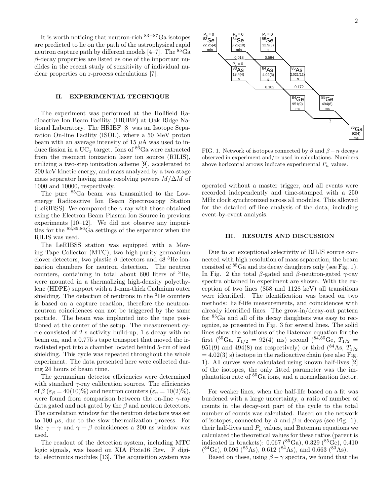It is worth noticing that neutron-rich <sup>83</sup>−87Ga isotopes are predicted to lie on the path of the astrophysical rapid neutron capture path by different models  $[4-7]$ . The <sup>85</sup>Ga  $\beta$ -decay properties are listed as one of the important nuclides in the recent study of sensitivity of individual nuclear properties on r-process calculations [7].

#### II. EXPERIMENTAL TECHNIQUE

The experiment was performed at the Holifield Radioactive Ion Beam Facility (HRIBF) at Oak Ridge National Laboratory. The HRIBF [8] was an Isotope Separation On-line Facility (ISOL), where a 50 MeV proton beam with an average intensity of 15  $\mu$ A was used to induce fission in a  $UC_x$  target. Ions of <sup>86</sup>Ga were extracted from the resonant ionization laser ion source (RILIS), utilizing a two-step ionization scheme [9], accelerated to 200 keV kinetic energy, and mass analyzed by a two-stage mass separator having mass resolving powers  $M/\Delta M$  of 1000 and 10000, respectively.

The pure <sup>85</sup>Ga beam was transmitted to the Lowenergy Radioactive Ion Beam Spectroscopy Station (LeRIBSS). We compared the  $\gamma$ -ray with those obtained using the Electron Beam Plasma Ion Source in previous experiments [10–12]. We did not observe any impurities for the  $83,85,86\text{Ga}$  settings of the separator when the RILIS was used.

The LeRIBSS station was equipped with a Moving Tape Collector (MTC), two high-purity germanium clover detectors, two plastic  $\beta$  detectors and 48 <sup>3</sup>He ionization chambers for neutron detection. The neutron counters, containing in total about 600 liters of <sup>3</sup>He, were mounted in a thermalizing high-density polyethylene (HDPE) support with a 1-mm-thick Cadmium outer shielding. The detection of neutrons in the <sup>3</sup>He counters is based on a capture reaction, therefore the neutronneutron coincidences can not be triggered by the same particle. The beam was implanted into the tape positioned at the center of the setup. The measurement cycle consisted of 2 s activity build-up, 1 s decay with no beam on, and a 0.775 s tape transport that moved the irradiated spot into a chamber located behind 5-cm of lead shielding. This cycle was repeated throughout the whole experiment. The data presented here were collected during 24 hours of beam time.

The germanium detector efficiencies were determined with standard  $\gamma$ -ray calibration sources. The efficiencies of  $\beta$  ( $\varepsilon_{\beta} = 40(10)\%$ ) and neutron counters ( $\varepsilon_n = 10(2)\%$ ), were found from comparison between the on-line  $\gamma$ -ray data gated and not gated by the  $\beta$  and neutron detectors. The correlation window for the neutron detectors was set to 100  $\mu$ s, due to the slow thermalization process. For the  $\gamma - \gamma$  and  $\gamma - \beta$  coincidences a 200 ns window was used.

The readout of the detection system, including MTC logic signals, was based on XIA Pixie16 Rev. F digital electronics modules [13]. The acquisition system was



FIG. 1. Network of isotopes connected by  $\beta$  and  $\beta - n$  decays observed in experiment and/or used in calculations. Numbers above horizontal arrows indicate experimental  $P_n$  values.

operated without a master trigger, and all events were recorded independently and time-stamped with a 250 MHz clock synchronized across all modules. This allowed for the detailed off-line analysis of the data, including event-by-event analysis.

#### III. RESULTS AND DISCUSSION

Due to an exceptional selectivity of RILIS source connected with high resolution of mass separation, the beam consited of <sup>85</sup>Ga and its decay daughters only (see Fig. 1). In Fig. 2 the total β-gated and β-neutron-gated  $γ$ -ray spectra obtained in experiment are shown. With the exception of two lines (858 and 1128 keV) all transitions were identified. The identification was based on two methods: half-life measurements, and coincidences with already identified lines. The grow-in/decay-out pattern for <sup>85</sup>Ga and all of its decay daughters was easy to recognize, as presented in Fig. 3 for several lines. The solid lines show the solutions of the Bateman equation for the first  $(^{85}Ga, T_{1/2} = 92(4)$  ms) second  $(^{84,85}Ge, T_{1/2} =$ 951(9) and 494(8) ms respectively) or third  $(^{84}\text{As}, T_{1/2})$  $= 4.02(3)$  s) isotope in the radioactive chain (see also Fig. 1). All curves were calculated using known half-lives [2] of the isotopes, the only fitted parameter was the implantation rate of <sup>85</sup>Ga ions, and a normalization factor.

For weaker lines, when the half-life based on a fit was burdened with a large uncertainty, a ratio of number of counts in the decay-out part of the cycle to the total number of counts was calculated. Based on the network of isotopes, connected by  $\beta$  and  $\beta$ -n decays (see Fig. 1), their half-lives and  $P_n$  values, and Bateman equations we calculated the theoretical values for these ratios (parent is indicated in brackets):  $0.067$  (<sup>85</sup>Ga),  $0.329$  (<sup>85</sup>Ge),  $0.410$  $(^{84}Ge)$ , 0.596  $(^{85}As)$ , 0.612  $(^{84}As)$ , and 0.663  $(^{83}As)$ .

Based on these, using  $\beta - \gamma$  spectra, we found that the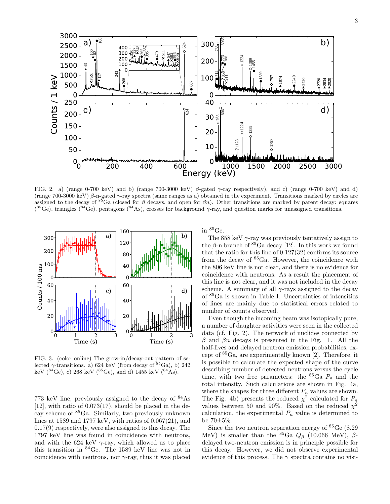

FIG. 2. a) (range 0-700 keV) and b) (range 700-3000 keV) β-gated γ-ray respectively), and c) (range 0-700 keV) and d) (range 700-3000 keV)  $\beta$ -n-gated  $\gamma$ -ray spectra (same ranges as a) obtained in the experiment. Transitions marked by circles are assigned to the decay of <sup>85</sup>Ga (closed for  $\beta$  decays, and open for  $\beta n$ ). Other transitions are marked by parent decay: squares  $({}^{85}\text{Ge})$ , triangles  $({}^{84}\text{Ge})$ , pentagons  $({}^{84}\text{As})$ , crosses for background  $\gamma$ -ray, and question marks for unassigned transitions.



FIG. 3. (color online) The grow-in/decay-out pattern of selected  $\gamma$ -transitions. a) 624 keV (from decay of  ${}^{85}$ Ga), b) 242 keV ( ${}^{84}$ Ge), c) 268 keV ( ${}^{85}$ Ge), and d) 1455 keV ( ${}^{84}$ As).

773 keV line, previously assigned to the decay of <sup>84</sup>As  $[12]$ , with ratio of 0.073 $(17)$ , should be placed in the decay scheme of <sup>85</sup>Ga. Similarly, two previously unknown lines at 1589 and 1797 keV, with ratios of  $0.067(21)$ , and 0.17(9) respectively, were also assigned to this decay. The 1797 keV line was found in coincidence with neutrons, and with the 624 keV  $\gamma$ -ray, which allowed us to place this transition in <sup>84</sup>Ge. The 1589 keV line was not in coincidence with neutrons, nor  $\gamma$ -ray, thus it was placed in <sup>85</sup>Ge.

The 858 keV  $\gamma$ -ray was previously tentatively assign to the  $\beta$ -n branch of <sup>85</sup>Ga decay [12]. In this work we found that the ratio for this line of  $0.127(32)$  confirms its source from the decay of <sup>85</sup>Ga. However, the coincidence with the 806 keV line is not clear, and there is no evidence for coincidence with neutrons. As a result the placement of this line is not clear, and it was not included in the decay scheme. A summary of all  $\gamma$ -rays assigned to the decay of <sup>85</sup>Ga is shown in Table I. Uncertainties of intensities of lines are mainly due to statistical errors related to number of counts observed.

Even though the incoming beam was isotopically pure, a number of daughter activities were seen in the collected data (cf. Fig. 2). The network of nuclides connected by β and βn decays is presented in the Fig. 1. All the half-lives and delayed neutron emission probabilities, except of <sup>85</sup>Ga, are experimentally known [2]. Therefore, it is possible to calculate the expected shape of the curve describing number of detected neutrons versus the cycle time, with two free parameters: the  ${}^{85}Ga$   $P_n$  and the total intensity. Such calculations are shown in Fig. 4a, where the shapes for three different  $P_n$  values are shown. The Fig. 4b) presents the reduced  $\chi^2$  calculated for  $P_n$ values between 50 and 90%. Based on the reduced  $\chi^2$ calculation, the experimental  $P_n$  value is determined to be 70±5%.

Since the two neutron separation energy of  ${}^{85}$ Ge (8.29) MeV) is smaller than the <sup>85</sup>Ga  $Q_\beta$  (10.066 MeV),  $\beta$ delayed two-neutron emission is in principle possible for this decay. However, we did not observe experimental evidence of this process. The  $\gamma$  spectra contains no visi-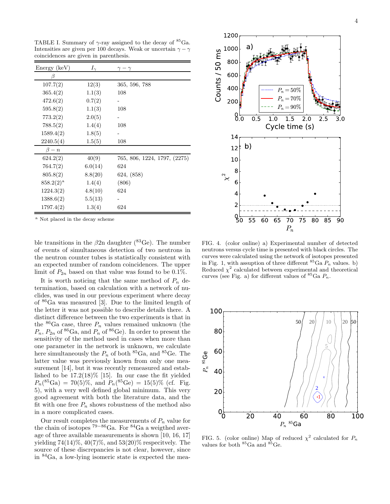TABLE I. Summary of  $\gamma$ -ray assigned to the decay of <sup>85</sup>Ga. Intensities are given per 100 decays. Weak or uncertain  $\gamma - \gamma$ coincidences are given in parenthesis.

| Energy (keV)   | $I_{\gamma}$ |                              |
|----------------|--------------|------------------------------|
| ß              |              |                              |
| 107.7(2)       | 12(3)        | 365, 596, 788                |
| 365.4(2)       | 1.1(3)       | 108                          |
| 472.6(2)       | 0.7(2)       |                              |
| 595.8(2)       | 1.1(3)       | 108                          |
| 773.2(2)       | 2.0(5)       |                              |
| 788.5(2)       | 1.4(4)       | 108                          |
| 1589.4(2)      | 1.8(5)       |                              |
| 2240.5(4)      | 1.5(5)       | 108                          |
| $\beta - n$    |              |                              |
| 624.2(2)       | 40(9)        | 765, 806, 1224, 1797, (2275) |
| 764.7(2)       | 6.0(14)      | 624                          |
| 805.8(2)       | 8.8(20)      | 624, (858)                   |
| $858.2(2)^{a}$ | 1.4(4)       | (806)                        |
| 1224.3(2)      | 4.8(10)      | 624                          |
| 1388.6(2)      | 5.5(13)      |                              |
| 1797.4(2)      | 1.3(4)       | 624                          |

<sup>a</sup> Not placed in the decay scheme

ble transitions in the  $\beta$ 2n daughter (<sup>83</sup>Ge). The number of events of simultaneous detection of two neutrons in the neutron counter tubes is statistically consistent with an expected number of random coincidences. The upper limit of  $P_{2n}$  based on that value was found to be 0.1%.

It is worth noticing that the same method of  $P_n$  determination, based on calculation with a network of nuclides, was used in our previous experiment where decay of <sup>86</sup>Ga was measured [3]. Due to the limited length of the letter it was not possible to describe details there. A distinct difference between the two experiments is that in the  ${}^{86}$ Ga case, three  $P_n$  values remained unknown (the  $P_n$ ,  $P_{2n}$  of <sup>86</sup>Ga, and  $P_n$  of <sup>86</sup>Ge). In order to present the sensitivity of the method used in cases when more than one parameter in the network is unknown, we calculate here simultaneously the  $P_n$  of both <sup>85</sup>Ga, and <sup>85</sup>Ge. The latter value was previously known from only one measurement [14], but it was recently remeasured and established to be  $17.2(18)\%$  [15]. In our case the fit yielded  $P_n(^{85}Ga) = 70(5)\%,$  and  $P_n(^{85}Ge) = 15(5)\%$  (cf. Fig. 5), with a very well defined global minimum. This very good agreement with both the literature data, and the fit with one free  $P_n$  shows robustness of the method also in a more complicated cases.

Our result completes the measurements of  $P_n$  value for the chain of isotopes <sup>79</sup>−86Ga. For <sup>84</sup>Ga a weigthed average of three available measurements is shown [10, 16, 17] yielding  $74(14)\%, 40(7)\%, \text{ and } 53(20)\%$  respecitvely. The source of these discrepancies is not clear, however, since in <sup>84</sup>Ga, a low-lying isomeric state is expected the mea-



FIG. 4. (color online) a) Experimental number of detected neutrons versus cycle time is presented with black circles. The curves were calculated using the network of isotopes presented in Fig. 1, with assuption of three different  ${}^{85}Ga P_n$  values. b) Reduced  $\chi^2$  calculated between experimental and theoretical curves (see Fig. a) for different values of  ${}^{85}Ga$   $P_n$ .



FIG. 5. (color online) Map of reduced  $\chi^2$  calculated for  $P_n$ values for both  ${}^{85}Ga$  and  ${}^{85}Ge$ .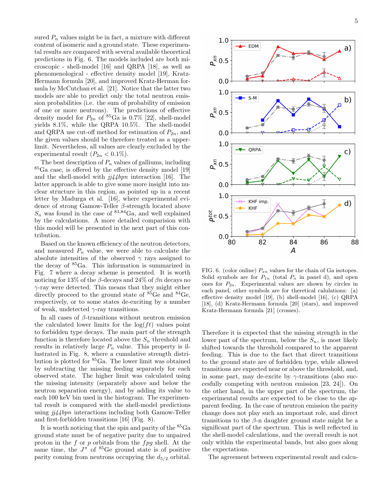sured  $P_n$  values might be in fact, a mixture with different content of isomeric and a ground state. These experimental results are compared with several available theoretical predictions in Fig. 6. The models included are both microscopic - shell-model [16] and QRPA [18], as well as phenomenological - effective density model [19], Kratz-Hermann formula [20], and improved Kratz-Herman formula by McCutchan et al. [21]. Notice that the latter two models are able to predict only the total neutron emission probabilities (i.e. the sum of probability of emission of one or more neutrons). The predictions of effective density model for  $P_{2n}$  of <sup>85</sup>Ga is 0.7% [22], shell-model yields 8.1%, while the QRPA 10.5%. The shell-model and QRPA use cut-off method for estimation of  $P_{2n}$ , and the given values should be therefore treated as a upperlimit. Nevertheless, all values are clearly excluded by the experimental result  $(P_{2n} < 0.1\%)$ .

The best description of  $P_n$  values of galliums, including  ${}^{85}\mathrm{Ga}$  case, is offered by the effective density model [19] and the shell-model with  $jj\frac{1}{4}$ bpn interaction [16]. The latter approach is able to give some more insight into nuclear structure in this region, as pointed up in a recent letter by Madurga et al. [16], where experimental evidence of strong Gamow-Teller β-strength located above  $S_n$  was found in the case of  $83,84$ Ga, and well explained by the calculations. A more detailed comparision with this model will be presented in the next part of this contribution.

Based on the known efficiency of the neutron detectors, and measured  $P_n$  value, we were able to calculate the absolute intensities of the observed  $\gamma$  rays assigned to the decay of <sup>85</sup>Ga. This information is summarized in Fig. 7 where a decay scheme is presented. It is worth noticing for 13% of the  $\beta$ -decays and 24% of  $\beta n$  decays no  $\gamma$ -ray were detected. This means that they might either directly proceed to the ground state of  ${}^{85}$ Ge and  ${}^{84}$ Ge, respectively, or to some states de-exciting by a number of weak, undetected  $\gamma$ -ray transitions.

In all cases of  $\beta$ -transitions without neutron emission the calculated lower limits for the  $log (ft)$  values point to forbidden type decays. The main part of the strength function is therefore located above the  $S_n$  threshold and results in relatively large  $P_n$  value. This property is illustrated in Fig. 8, where a cumulative strength distribution is plotted for <sup>85</sup>Ga. The lower limit was obtained by subtracting the missing feeding separately for each observed state. The higher limit was calculated using the missing intensity (separately above and below the neutron separation energy), and by adding its value to each 100 keV bin used in the histogram. The experimental result is compared with the shell-model predictions using  $jj\frac{1}{4}$ bpn interactions including both Gamow-Teller and first-forbidden transitions [16] (Fig. 8).

It is worth noticing that the spin and parity of the <sup>85</sup>Ga ground state must be of negative parity due to unpaired proton in the  $f$  or  $p$  orbitals from the  $f \, p \, g$  shell. At the same time, the  $J^{\pi}$  of <sup>85</sup>Ge ground state is of positive parity coming from neutrons occupying the  $d_{5/2}$  orbital.



FIG. 6. (color online)  $P_{xn}$  values for the chain of Ga isotopes. Solid symbols are for  $P_{1n}$  (total  $P_n$  in panel d), and open ones for  $P_{2n}$ . Experimental values are shown by circles in each panel, other symbols are for theretical calulations: (a) effective density model [19], (b) shell-model [16], (c) QRPA [18], (d) Kratz-Hermann formula [20] (stars), and improved Kratz-Hermann formula [21] (crosses).

Therefore it is expected that the missing strength in the lower part of the spectrum, below the  $S_n$ , is most likely shifted towards the threshold compared to the apparent feeding. This is due to the fact that direct transitions to the ground state are of forbidden type, while allowed transitions are expected near or above the threshold, and, in some part, may de-excite by  $\gamma$ -transitions (also succesfully competing with neutron emission [23, 24]). On the other hand, in the upper part of the spectrum, the experimental results are expected to be close to the apparent feeding. In the case of neutron emission the parity change does not play such an important role, and direct transitions to the β-n daughter ground state might be a significant part of the spectrum. This is well reflected in the shell-model calculations, and the overall result is not only within the experimental bands, but also goes along the expectations.

The agreement between experimental result and calcu-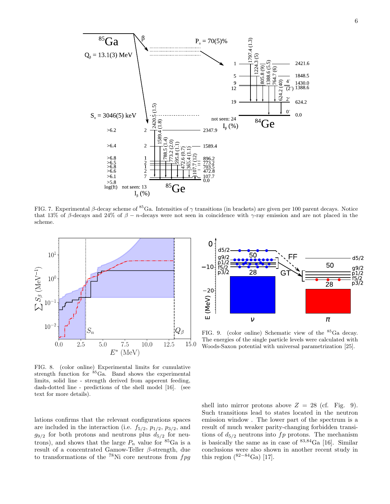

FIG. 7. Experimental β-decay scheme of <sup>85</sup>Ga. Intensities of  $\gamma$  transitions (in brackets) are given per 100 parent decays. Notice that 13% of β-decays and 24% of  $\beta$  – n-decays were not seen in coincidence with  $\gamma$ -ray emission and are not placed in the scheme.



FIG. 8. (color online) Experimental limits for cumulative strength function for  ${}^{85}$ Ga. Band shows the experimental limits, solid line - strength derived from apperent feeding, dash-dotted line - predictions of the shell model [16]. (see text for more details).

lations confirms that the relevant configurations spaces are included in the interaction (i.e.  $f_{5/2}$ ,  $p_{1/2}$ ,  $p_{3/2}$ , and  $g_{9/2}$  for both protons and neutrons plus  $d_{5/2}$  for neutrons), and shows that the large  $P_n$  value for <sup>85</sup>Ga is a result of a concentrated Gamow-Teller β-strength, due to transformations of the  $^{78}$ Ni core neutrons from  $fpg$ 

shell into mirror protons above  $Z = 28$  (cf. Fig. 9). Such transitions lead to states located in the neutron emission window . The lower part of the spectrum is a result of much weaker parity-changing forbidden transitions of  $d_{5/2}$  neutrons into  $fp$  protons. The mechanism is basically the same as in case of  $83,84$ Ga [16]. Similar conclusions were also shown in another recent study in this region  $(^{82-84}Ga)$  [17].



FIG. 9. (color online) Schematic view of the <sup>85</sup>Ga decay. The energies of the single particle levels were calculated with Woods-Saxon potential with universal parametrization [25].